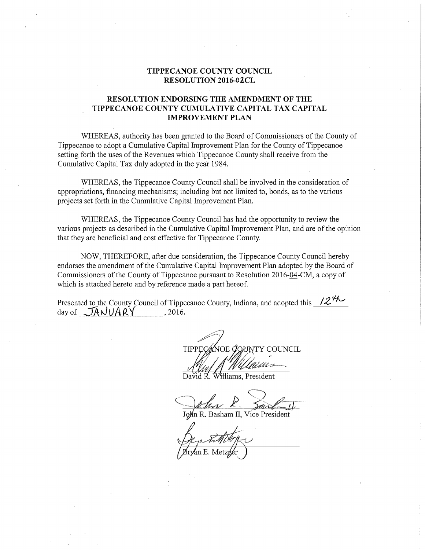## TIPPECANOE COUNTY COUNCIL RESOLUTION 2016-02CL

# RESOLUTION ENDORSING THE AMENDMENT OF THE TIPPECANOE COUNTY CUMULATIVE CAPITAL TAX CAPITAL IMPROVEMENT PLAN

WHEREAS, authority has been granted to the Board of Commissioners of the County of Tippecanoe to adopt <sup>a</sup> Cumulative Capital Improvement Plan for the County of Tippecanoe setting forth the uses of the Revenues which Tippecanoe County shall receive from the Cumulative Capital Tax duly adopted in the year 1984.

WHEREAS, the Tippecanoe County Council shall be involved in the consideration of appropriations, financing mechanisms; including but not limited to, bonds, as to the various projects set forth in the Cumulative Capital Improvement Plan.

WHEREAS, the Tippecanoe County Council has had the opportunity to review the various projects as described in the Cumulative Capital Improvement Plan, and are of the opinion that they are beneficial and cost effective for Tippecanoe County.

NOW, THEREFORE, after due consideration, the Tippecanoe County Council hereby endorses the amendment of the Cumulative Capital Improvement Plan adopted by the Boardof Commissioners of the County of Tippecanoe pursuant to Resolution 2016-04-CM, a copy of which is attached hereto and by reference made <sup>a</sup> part hereof.

Presented to the County Council of Tippecanoe County, Indiana, and adopted this  $\sqrt{2N}$ day of  $JANUARY$ , 2016.

'Y COUNCIL

Williams. President

 $\mathbb{Z}$  lm's part of  $\mathbb{Z}$ 

John R. Basham II, Vice President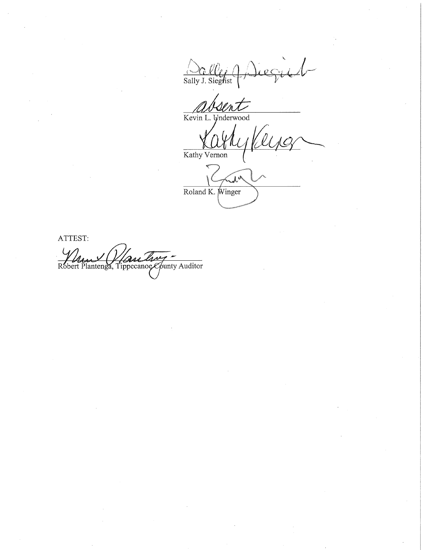Salle (Diegie)

 $\overline{M}_{4}$  $\frac{1}{\text{Kevin L}}$ 

**Underwood** 

Use

Kathy Vernon

 $\tilde{\lambda}^{\mathsf{A}}$ Roland K. Winger

ATTEST: Robert Plantenga, Tippecanoe County Auditor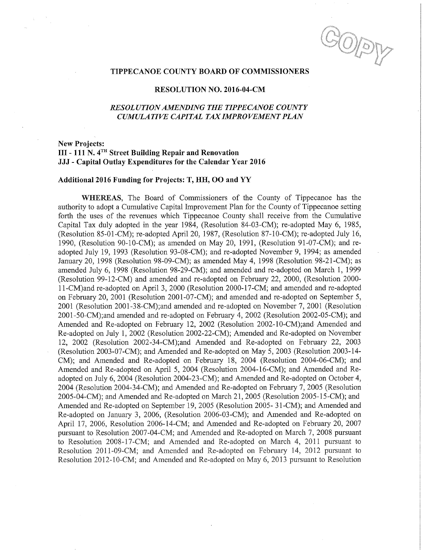TIPPECANOE COUNTY BOARD OF COMMISSIONERS

#### RESOLUTION NO. 2016—04—CM

## RESOL UTIONAMENDING THE TIPPECANOE COUNTY CUMULATIVE CAPITAL TAXIMPROVEMENT PLAN

# New Projects: 111 - 111 N. 4TH Street Building Repair and Renovation JJJ - Capital Outlay Expenditures for the Calendar Year 2016

## Additional 2016 Funding for Projects: T, HH, OO and YY

WHEREAS, The Board of Commissioners of the County of Tippecanoe has the authority to adopt <sup>a</sup> Cumulative Capital Improvement Plan for the County of Tippecanoe setting forth the uses of the revenues which Tippecanoe County Shall receive from the Cumulative Capital Tax duly adopted in the year 1984, (Resolution 84-03-CM); re-adopted May 6, 1985, (Resolution 85-01-CM); re—adopted April 20, 1987, (Resolution 87~10—CM); re—adopted July 16, 1990, (Resolution 90—10—CM); as amended on May 20, 1991, (Resolution 91—07-CM); and re adopted July 19, 1993 (Resolution 93-08-CM); and re-adopted November 9, 1994; as amended January 20, <sup>1998</sup> (Resolution 98—09—CM); as amended May 4, <sup>1998</sup> (Resolution 98-21-CM); as amended July 6, 1998 (Resolution 98-29-CM); and amended and re-adopted on March 1, 1999 (Resolution 99-12-CM) and amended and re-adopted on February 22, 2000, (Resolution 2000-11—CM)and re—adopted on April 3, 2000 (Resolution 2000—l7—CM; and amended and re-adopted on February 20, 2001 (Resolution 2001-07-CM); and amended and re-adopted on September 5, 2001 (Resolution 2001-38-CM);and amended and re-adopted on November 7, 2001 (Resolution 2001-50-CM);and amended and re-adopted on February 4, 2002 (Resolution 2002-05-CM); and Amended and Re-adopted on February 12, 2002 (Resolution 2002-10-CM);and Amended and Re—adopted on July 1, 2002 (Resolution 2002-22-CM); Amended and Re~adopted on November 12, 2002 (Resolution 2002—34-CM);and Amended and Re—adopted on February 22, 2003 (Resolution 2003-07-CM); and Amended and Re-adopted on May  $5$ , 2003 (Resolution 2003-14-CM); and Amended and Re-adopted on February 18, 2004 (Resolution 2004-06-CM); and Amended and Re-adopted on April 5, 2004 (Resolution 2004-16-CM); and Amended and ReadOpted on July 6, 2004 (Resolution 2004—23—CM); and Amended and Re-adopted on October 4, 2004 (Resolution 2004—34-CM); and Amended and Re-adopted on February 7, 2005 (Resolution ' 2005-04-CM); and Amended and Re-adopted on March 21, 2005 (Resolution 2005-15-CM); and Amended and Re-adopted on September 19, 2005 (Resolution 2005-31-CM); and Amended and Re—adopted on January 3, 2006, (Resolution 2006-03-CM); and Amended and Re-adopted on April 17, 2006, Resolution 2006—14-CM; and Amended and Re~adopted on February 20,2007 pursuant to Resolution 2007-04-CM; and Amended and Re-adopted on March 7, 2008 pursuant to Resolution 2008-17-CM; and Amended and Re-adopted on March 4, 2011 pursuant to Resolution 2011-09-CM; and Amended and Re-adopted on February 14, 2012 pursuant to Resolution 2012~10—CM; and Amended and Re—adopted on May 6, 2013 pursuant to Resolution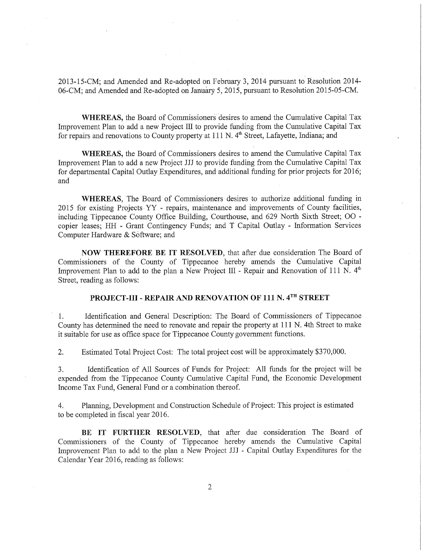2013-15-CM; and Amended and Re-adopted on February 3, 2014 pursuant to Resolution 2014- 06—CM; and Amended and Re-adopted on January 5, 2015, pursuant to Resolution 2015—05—CM.

WHEREAS, the Board of Commissioners desires to amend the Cumulative Capital Tax Improvement Plan to add a new Project III to provide funding from the Cumulative Capital Tax for repairs and renovations to County property at 111 N. 4<sup>th</sup> Street, Lafayette, Indiana; and

WHEREAS, the Board of Commissioners desires to amend the Cumulative Capital Tax Improvement Plan to add <sup>a</sup> new Project III to provide funding from the Cumulative Capital Tax for departmental Capital Outlay Expenditures, and additional funding for prior projects for 2016; and 's a state of the state of the state of the state of the state of the state of the state of the state of t

WHEREAS, The Board of Commissioners desires to authorize additional funding in 2015 for existing Projects YY - repairs, maintenance and improvements of County facilities, including Tippecanoe County Office Building, Courthouse, and 629 North Sixth Street; 00 copier leases; HH - Grant Contingency Funds; and T Capital Outlay - Information Services Computer Hardware & software; and

NOW THEREFORE BE IT RESOLVED, that after due consideration The Board of Commissioners of the County of Tippecanoe hereby amends the Cumulative Capital Improvement Plan to add to the plan a New Project III - Repair and Renovation of 111 N.  $4<sup>th</sup>$ Street, reading as follows:

# PROJECT-III - REPAIR AND RENOVATION OF 111 N. 4TH STREET

 1. Identification and General Description: The Board of Commissioners of Tippecanoe County has determined the need to renovate and repair the property at <sup>111</sup> N. 4th Street to make it suitable for use as office space for Tippecanoe County government functions.

2. Estimated Total Project Cost: The total project cost will be approximately \$370,000.

3. Identification of All Sources of Funds for Project: All funds for the project will be expended from the Tippecanoe County Cumulative Capital Fund, the Economic Development Income Tax Fund, General Fund or <sup>a</sup> combination thereof.

4. Planning, Development and Construction Schedule of Project: This project is estimated to be completed in fiscal year 2016.

BE IT FURTHER RESOLVED, that after due consideration The Board of Commissioners of the County of Tippecanoe hereby amends the Cumulative Capital Improvement Plan to add to the plan a New Project JJJ - Capital Outlay Expenditures for the Calendar Year 2016, reading as follows:

 $\overline{2}$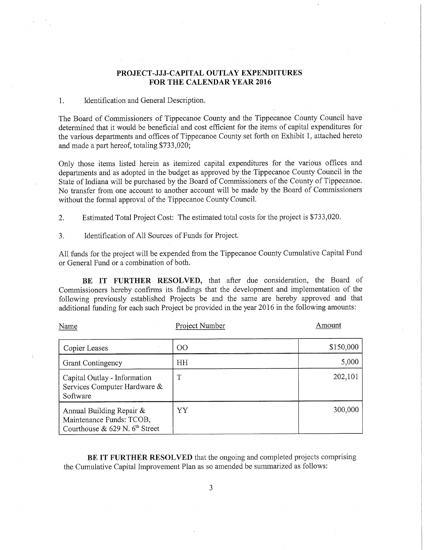## PROJECT—JJJ—CAPITAL OUTLAY EXPENDITURES FOR THE CALENDAR YEAR 2016

### 1. Identification and General Description.

The Board of Commissioners of Tippecanoe County and'the Tippecanoe County Council have determined that it would be beneficial and cost efficient for the items of capital expenditures for the various departments and offices of Tippecanoe County set forth on Exhibit 1, attached hereto and made <sup>a</sup> part hereof, totaling \$733,020;

Only those items listed herein as itemized capital expenditures for the various offices and departments and as adopted in the budget as approved by the Tippecanoe County Council in the State of Indiana will be purchased by the Board of Commissioners of the County of Tippecanoe. No transfer from one account to another account will be made by the Board of Commissioners without the formal approval of the Tippecanoe County Council.

2. Estimated Total Project Cost: The estimated total costs for the project is \$733,020.

3. Identification of All Sources of Funds for Project.

All funds for the project will be expended from the Tippecanoe County Cumulative Capital Fund or General Fund or <sup>a</sup> combination of both.

BE IT FURTHER RESOLVED, that after due consideration, the Board of Commissioners hereby confirms its findings that the development and implementation of the following previously established Projects be and the same are hereby approved and that additional funding for each such Project be provided in the year <sup>2016</sup> in the following amounts:

| Name                                                                                       | Project Number | Amount    |
|--------------------------------------------------------------------------------------------|----------------|-----------|
| Copier Leases                                                                              | $00\,$         | \$150,000 |
| <b>Grant Contingency</b>                                                                   | <b>HH</b>      | 5,000     |
| Capital Outlay - Information<br>Services Computer Hardware &<br>Software                   | Τ              | 202,101   |
| Annual Building Repair &<br>Maintenance Funds: TCOB,<br>Courthouse & $629$ N, $6th$ Street | YY             | 300,000   |

BE IT FURTHER RESOLVED that the ongoing and completed projects comprising the Cumulative Capital Improvement Plan as so amended be summarized as follows:

3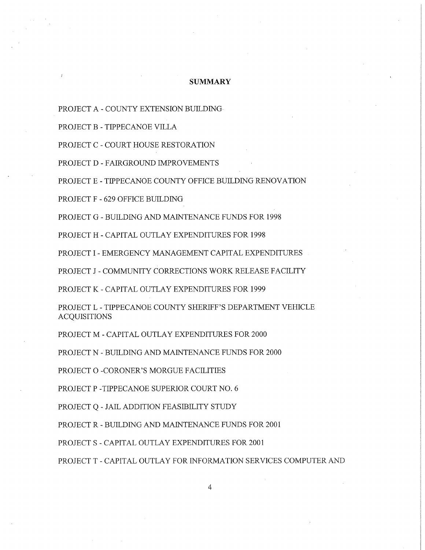#### **SUMMARY**

PROJECT A - COUNTY EXTENSION BUILDING

PROJECT B - TIPPECANOE VILLA

PROJECT C - COURT HOUSE RESTORATION

PROJECT D - FAIRGROUND IMPROVEMENTS

PROJECT E - TIPPECANOE COUNTY OFFICE BUILDING RENOVATION

PROJECT F - 629 OFFICE BUILDING

PROJECT G - BUILDING AND MAINTENANCE FUNDS FOR 1998

PROJECT H - CAPITAL OUTLAY EXPENDITURES FOR 1998

PROJECT I - EMERGENCY MANAGEMENT CAPITAL EXPENDITURES

PROJECT J - COMMUNITY CORRECTIONS WORK RELEASE FACILITY

PROJECT K - CAPITAL OUTLAY EXPENDITURES FOR 1999

PROJECT L - TIPPECANOE COUNTY SHERIFF'S DEPARTMENT VEHICLE ACQUISITIONS

PROJECT M - CAPITAL OUTLAY EXPENDITURES FOR 2000

PROJECT N - BUILDING AND MAINTENANCE FUNDS FOR 2000

PROJECT 0 -CORONER'S MORGUE FACILITIES

PROJECT P —TIPPECANOE SUPERIOR COURT NO. 6

PROJECT Q - JAIL ADDITION FEASIBILITY STUDY

PROJECT R - BUILDING AND MAINTENANCE FUNDS FOR 2001

PROJECT S - CAPITAL OUTLAY EXPENDITURES FOR 2001

PROJECT T - CAPITAL OUTLAY FOR INFORMATION SERVICES COMPUTER AND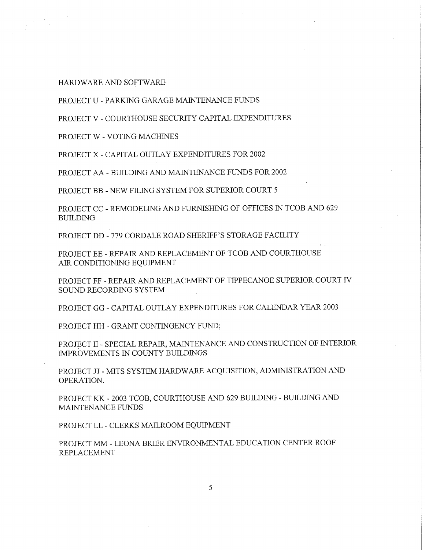HARDWARE AND SOFTWARE-

PROJECT U — PARKING GARAGE MAINTENANCE FUNDS

PROJECT V - COURTHOUSE SECURITY CAPITAL EXPENDITURES

PROJECT W - VOTING MACHINES

PROJECT X - CAPITAL OUTLAY EXPENDITURES FOR 2002

PROJECT AA - BUILDING AND MAINTENANCE FUNDS FOR 2002

PROJECT BB — NEW FILING SYSTEM FOR SUPERIOR COURT 5

PROJECT CC - REMODELING AND FURNISHING OF OFFICES IN TCOB AND 629 BUILDING

PROJECT DD - 779 CORDALE ROAD SHERIFF'S STORAGE FACILITY

PROJECT EE — REPAIR AND REPLACEMENT OF TCOB AND COURTHOUSE AIR CONDITIONING EQUIPMENT

PROJECT FF <sup>~</sup> REPAIR AND REPLACEMENT OF TIPPECANOE SUPERIOR COURT IV SOUND RECORDING SYSTEM

PROJECT GG - CAPITAL OUTLAY EXPENDITURES FOR CALENDAR YEAR 2003

PROJECT HH - GRANT CONTINGENCY FUND;

PROJECT 11 - SPECIAL REPAIR, MAINTENANCE AND CONSTRUCTION OF INTERIOR IMPROVEMENTS IN COUNTY BUILDINGS

PROJECT JJ- MITS SYSTEM HARDWARE ACQUISITION, ADMINISTRATION AND OPERATION.

PROJECT KK - 2003 TCOB, COURTHOUSE AND 629 BUILDING - BUILDING AND MAINTENANCE FUNDS

PROJECT LL — CLERKS MAILROOM EQUIPMENT

PROJECT MM - LEONA BRIER ENVIRONMENTAL EDUCATION CENTER ROOF REPLACEMENT

5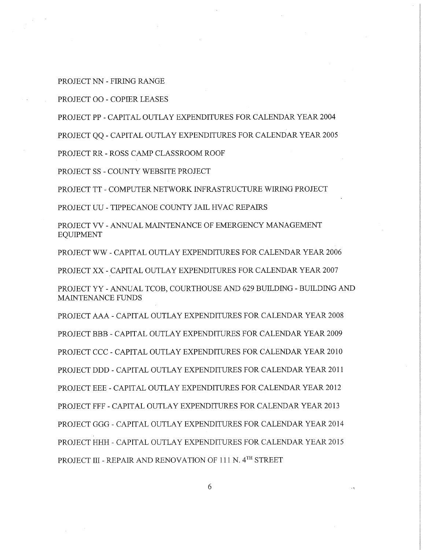PROJECT NN - FIRING RANGE

PROJECT 00 - COPIER LEASES

PROJECT PP — CAPITAL OUTLAY EXPENDITURES FOR CALENDAR YEAR 2004

PROJECT QQ - CAPITAL OUTLAY EXPENDITURES FOR CALENDAR YEAR 2005

PROJECT RR - ROSS CAMP CLASSROOM ROOF

PROJECT SS - COUNTY WEBSITE PROJECT

PROJECT TT - COMPUTER NETWORK INFRASTRUCTURE WIRING PROJECT

PROJECT UU - TIPPECANOE COUNTY JAIL HVAC REPAIRS

PROJECT VV - ANNUAL MAINTENANCE OF EMERGENCY MANAGEMENT EQUIPMENT

PROJECT WW — CAPITAL OUTLAY EXPENDITURES FOR CALENDAR YEAR 2006

PROJECT XX - CAPITAL OUTLAY EXPENDITURES FOR CALENDAR YEAR 2007

PROJECT YY - ANNUAL TCOB, COURTHOUSE AND 629 BUILDING - BUILDING AND MAINTENANCE FUNDS

PROJECT AAA — CAPITAL OUTLAY EXPENDITURES FOR CALENDAR YEAR 2008 PROJECT BBB <sup>~</sup> CAPITAL OUTLAY EXPENDITURES FOR CALENDAR YEAR 2009 PROJECT CCC - CAPITAL OUTLAY EXPENDITURES FOR CALENDAR YEAR 2010 PROJECT DDD - CAPITAL OUTLAY EXPENDITURES FOR CALENDAR YEAR 2011 PROJECT EEE — CAPITAL OUTLAY EXPENDITURES FOR CALENDAR YEAR 2012 PROJECT FFF - CAPITAL OUTLAY EXPENDITURES FOR CALENDAR YEAR 2013 PROJECT GGG \_. CAPITAL OUTLAY EXPENDITURES FOR CALENDAR YEAR 2014 PROJECT HHH - CAPITAL OUTLAY EXPENDITURES FOR CALENDAR YEAR 2015 PROJECT III - REPAIR AND RENOVATION OF 111 N. 4TH STREET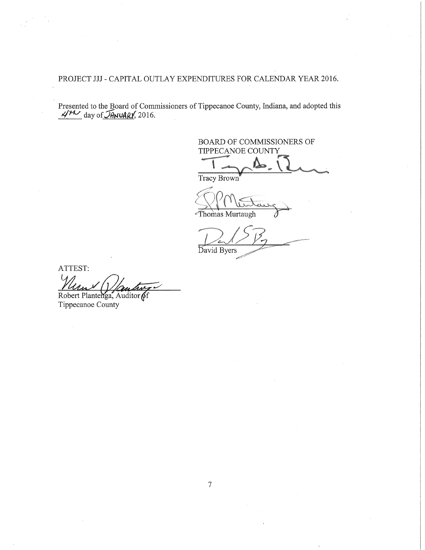PROJECT JJJ - CAPITAL OUTLAY EXPENDITURES FOR CALENDAR YEAR 2016.

 Presented to the Board of Commissioners of Tippecanoe County, Indiana, and adopted this  $4/11$  day of  $J$ ANUARY, 2016.

BOARD OF COMMISSIONERS OF TIPPECANOE COUNTY

Tracy Brown

Thomas Murtaugh

**Bavid Byers** 

ATTEST: Robert Plantenga, Auditor of

Tippecanoe County